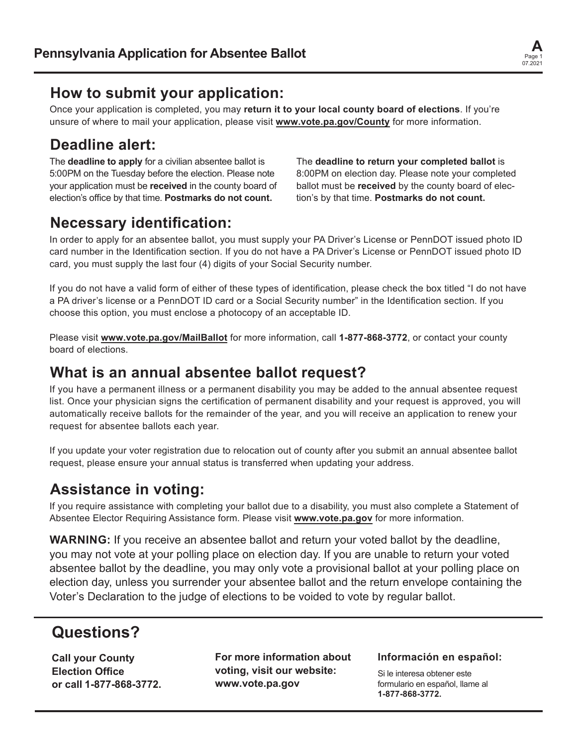

### **How to submit your application:**

Once your application is completed, you may **return it to your local county board of elections**. If you're unsure of where to mail your application, please visit **www.vote.pa.gov/County** for more information.

## **Deadline alert:**

The **deadline to apply** for a civilian absentee ballot is 5:00PM on the Tuesday before the election. Please note your application must be **received** in the county board of election's office by that time. **Postmarks do not count.**

The **deadline to return your completed ballot** is 8:00PM on election day. Please note your completed ballot must be **received** by the county board of election's by that time. **Postmarks do not count.**

## **Necessary identification:**

In order to apply for an absentee ballot, you must supply your PA Driver's License or PennDOT issued photo ID card number in the Identification section. If you do not have a PA Driver's License or PennDOT issued photo ID card, you must supply the last four (4) digits of your Social Security number.

If you do not have a valid form of either of these types of identification, please check the box titled "I do not have a PA driver's license or a PennDOT ID card or a Social Security number" in the Identification section. If you choose this option, you must enclose a photocopy of an acceptable ID.

Please visit **www.vote.pa.gov/MailBallot** for more information, call **1-877-868-3772**, or contact your county board of elections.

## **What is an annual absentee ballot request?**

If you have a permanent illness or a permanent disability you may be added to the annual absentee request list. Once your physician signs the certification of permanent disability and your request is approved, you will automatically receive ballots for the remainder of the year, and you will receive an application to renew your request for absentee ballots each year.

If you update your voter registration due to relocation out of county after you submit an annual absentee ballot request, please ensure your annual status is transferred when updating your address.

## **Assistance in voting:**

If you require assistance with completing your ballot due to a disability, you must also complete a Statement of Absentee Elector Requiring Assistance form. Please visit **www.vote.pa.gov** for more information.

**WARNING:** If you receive an absentee ballot and return your voted ballot by the deadline, you may not vote at your polling place on election day. If you are unable to return your voted absentee ballot by the deadline, you may only vote a provisional ballot at your polling place on election day, unless you surrender your absentee ballot and the return envelope containing the Voter's Declaration to the judge of elections to be voided to vote by regular ballot.

## **Questions?**

**Call your County Election Office or call 1-877-868-3772.** **For more information about voting, visit our website: www.vote.pa.gov**

#### **Información en español:**

Si le interesa obtener este formulario en español, llame al **1-877-868-3772.**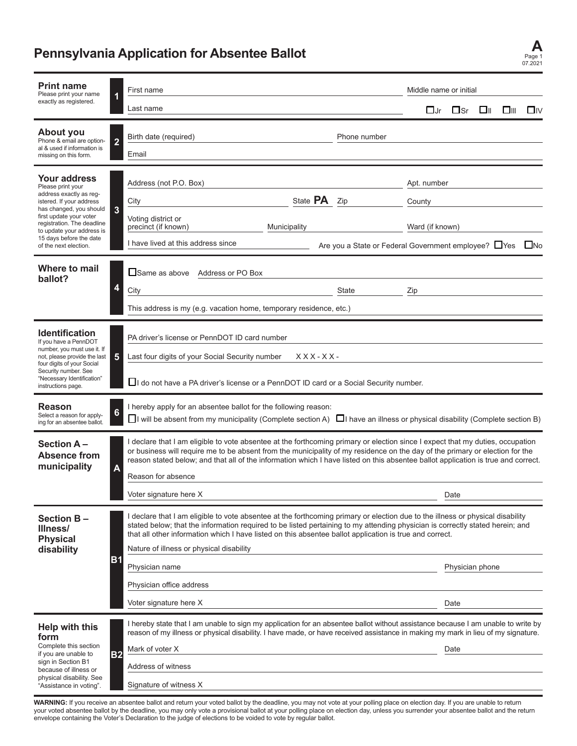# **Pennsylvania Application for Absentee Ballot A**

| <b>Print name</b><br>Please print your name<br>exactly as registered.                                                                                                                                                                                                                            | 1           | First name                                                                                                                                                                                                                                                                                                                                                                                                                                                                                     |                     |                                                                          |               | Middle name or initial         |                         |      |    |           |  |
|--------------------------------------------------------------------------------------------------------------------------------------------------------------------------------------------------------------------------------------------------------------------------------------------------|-------------|------------------------------------------------------------------------------------------------------------------------------------------------------------------------------------------------------------------------------------------------------------------------------------------------------------------------------------------------------------------------------------------------------------------------------------------------------------------------------------------------|---------------------|--------------------------------------------------------------------------|---------------|--------------------------------|-------------------------|------|----|-----------|--|
|                                                                                                                                                                                                                                                                                                  |             | Last name                                                                                                                                                                                                                                                                                                                                                                                                                                                                                      |                     |                                                                          |               | $\square$ Jr                   | $\square$ Sr            | – □⊪ | □⊪ | $\square$ |  |
| About you<br>Phone & email are option-<br>al & used if information is<br>missing on this form.                                                                                                                                                                                                   | $\mathbf 2$ | Birth date (required)<br>Email                                                                                                                                                                                                                                                                                                                                                                                                                                                                 |                     | Phone number                                                             |               |                                |                         |      |    |           |  |
| <b>Your address</b><br>Please print your<br>address exactly as reg-<br>istered. If your address<br>has changed, you should<br>first update your voter<br>registration. The deadline<br>to update your address is<br>15 days before the date<br>of the next election.<br>Where to mail<br>ballot? | 3<br>4      | Address (not P.O. Box)<br>City<br>Voting district or<br>precinct (if known)<br>Municipality<br>I have lived at this address since<br>□ Same as above Address or PO Box<br>City                                                                                                                                                                                                                                                                                                                 | State <b>PA</b> Zip | Are you a State or Federal Government employee? □Yes □No<br><b>State</b> | County<br>Zip | Apt. number<br>Ward (if known) |                         |      |    |           |  |
| <b>Identification</b><br>If you have a PennDOT<br>number, you must use it. If<br>not, please provide the last<br>four digits of your Social<br>Security number. See<br>"Necessary Identification"<br>instructions page.                                                                          | 5           | This address is my (e.g. vacation home, temporary residence, etc.)<br>PA driver's license or PennDOT ID card number<br>Last four digits of your Social Security number<br>$XXX-XX$ -<br>$\Box$ I do not have a PA driver's license or a PennDOT ID card or a Social Security number.                                                                                                                                                                                                           |                     |                                                                          |               |                                |                         |      |    |           |  |
| Reason<br>Select a reason for apply-<br>ing for an absentee ballot.                                                                                                                                                                                                                              |             | I hereby apply for an absentee ballot for the following reason:<br>$\Box$ I will be absent from my municipality (Complete section A) $\Box$ I have an illness or physical disability (Complete section B)                                                                                                                                                                                                                                                                                      |                     |                                                                          |               |                                |                         |      |    |           |  |
| Section A-<br><b>Absence from</b><br>municipality                                                                                                                                                                                                                                                | A           | I declare that I am eligible to vote absentee at the forthcoming primary or election since I expect that my duties, occupation<br>or business will require me to be absent from the municipality of my residence on the day of the primary or election for the<br>reason stated below; and that all of the information which I have listed on this absentee ballot application is true and correct.<br>Reason for absence<br>Voter signature here X<br>Date                                    |                     |                                                                          |               |                                |                         |      |    |           |  |
| Section B-<br>Illness/<br><b>Physical</b><br>disability                                                                                                                                                                                                                                          | <b>B1</b>   | I declare that I am eligible to vote absentee at the forthcoming primary or election due to the illness or physical disability<br>stated below; that the information required to be listed pertaining to my attending physician is correctly stated herein; and<br>that all other information which I have listed on this absentee ballot application is true and correct.<br>Nature of illness or physical disability<br>Physician name<br>Physician office address<br>Voter signature here X |                     |                                                                          |               |                                | Physician phone<br>Date |      |    |           |  |
| <b>Help with this</b><br>form<br>Complete this section<br>if you are unable to<br>sign in Section B1<br>because of illness or<br>physical disability. See<br>"Assistance in voting".                                                                                                             | <b>B2</b>   | I hereby state that I am unable to sign my application for an absentee ballot without assistance because I am unable to write by<br>reason of my illness or physical disability. I have made, or have received assistance in making my mark in lieu of my signature.<br>Mark of voter X<br>Address of witness<br>Signature of witness X                                                                                                                                                        |                     |                                                                          |               |                                | Date                    |      |    |           |  |

Page 1 07.2021

**WARNING:** If you receive an absentee ballot and return your voted ballot by the deadline, you may not vote at your polling place on election day. If you are unable to return your voted absentee ballot by the deadline, you may only vote a provisional ballot at your polling place on election day, unless you surrender your absentee ballot and the return envelope containing the Voter's Declaration to the judge of elections to be voided to vote by regular ballot.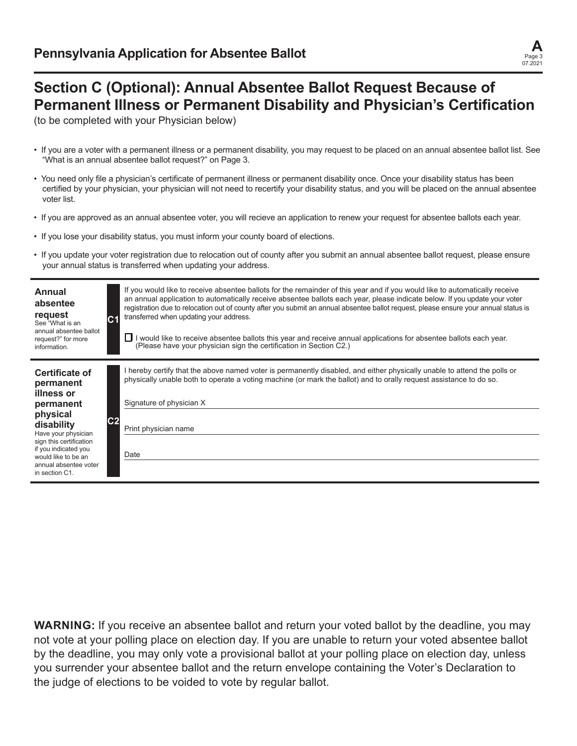

### **Section C (Optional): Annual Absentee Ballot Request Because of Permanent Illness or Permanent Disability and Physician's Certification**

(to be completed with your Physician below)

- If you are a voter with a permanent illness or a permanent disability, you may request to be placed on an annual absentee ballot list. See "What is an annual absentee ballot request?" on Page 3.
- You need only file a physician's certificate of permanent illness or permanent disability once. Once your disability status has been certified by your physician, your physician will not need to recertify your disability status, and you will be placed on the annual absentee voter list.
- If you are approved as an annual absentee voter, you will recieve an application to renew your request for absentee ballots each year.
- If you lose your disability status, you must inform your county board of elections.
- If you update your voter registration due to relocation out of county after you submit an annual absentee ballot request, please ensure your annual status is transferred when updating your address.

| Annual<br>absentee<br>request<br>See "What is an<br>annual absentee ballot<br>request?" for more<br>information.                                                                                                             |    | If you would like to receive absentee ballots for the remainder of this year and if you would like to automatically receive<br>an annual application to automatically receive absentee ballots each year, please indicate below. If you update your voter<br>registration due to relocation out of county after you submit an annual absentee ballot request, please ensure your annual status is<br>transferred when updating your address.<br>□ I would like to receive absentee ballots this year and receive annual applications for absentee ballots each year.<br>(Please have your physician sign the certification in Section C2.) |
|------------------------------------------------------------------------------------------------------------------------------------------------------------------------------------------------------------------------------|----|--------------------------------------------------------------------------------------------------------------------------------------------------------------------------------------------------------------------------------------------------------------------------------------------------------------------------------------------------------------------------------------------------------------------------------------------------------------------------------------------------------------------------------------------------------------------------------------------------------------------------------------------|
| Certificate of<br>permanent<br>illness or<br>permanent<br>physical<br>disability<br>Have your physician<br>sign this certification<br>if you indicated you<br>would like to be an<br>annual absentee voter<br>in section C1. | C2 | I hereby certify that the above named voter is permanently disabled, and either physically unable to attend the polls or<br>physically unable both to operate a voting machine (or mark the ballot) and to orally request assistance to do so.<br>Signature of physician X<br>Print physician name<br>Date                                                                                                                                                                                                                                                                                                                                 |

**WARNING:** If you receive an absentee ballot and return your voted ballot by the deadline, you may not vote at your polling place on election day. If you are unable to return your voted absentee ballot by the deadline, you may only vote a provisional ballot at your polling place on election day, unless you surrender your absentee ballot and the return envelope containing the Voter's Declaration to the judge of elections to be voided to vote by regular ballot.